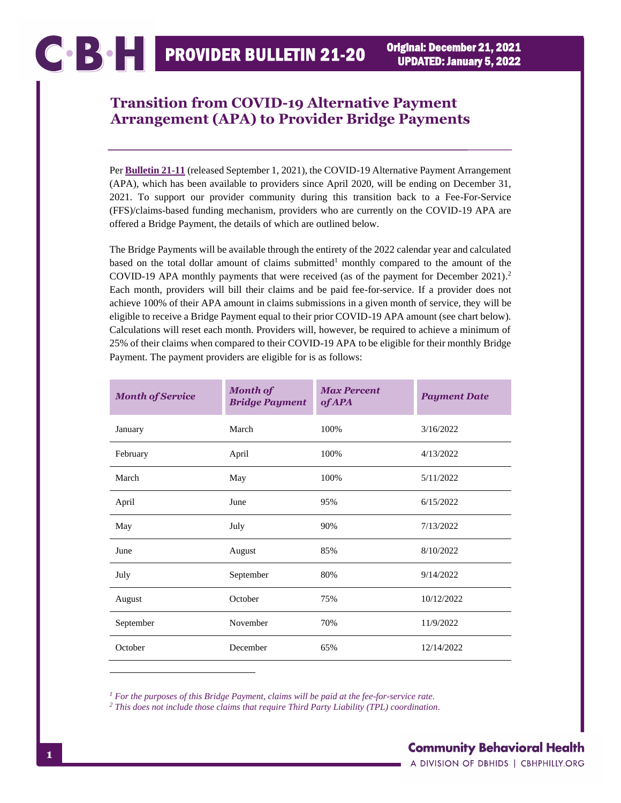## **Transition from COVID-19 Alternative Payment Arrangement (APA) to Provider Bridge Payments**

Per **[Bulletin 21-11](https://cbhphilly.org/wp-content/uploads/2021/09/CBH_Bulletin_21-11_2021-09-01_continuation_of_covid-19_apa.pdf)** (released September 1, 2021), the COVID-19 Alternative Payment Arrangement (APA), which has been available to providers since April 2020, will be ending on December 31, 2021. To support our provider community during this transition back to a Fee-For-Service (FFS)/claims-based funding mechanism, providers who are currently on the COVID-19 APA are offered a Bridge Payment, the details of which are outlined below.

The Bridge Payments will be available through the entirety of the 2022 calendar year and calculated based on the total dollar amount of claims submitted<sup>1</sup> monthly compared to the amount of the COVID-19 APA monthly payments that were received (as of the payment for December 2021). 2 Each month, providers will bill their claims and be paid fee-for-service. If a provider does not achieve 100% of their APA amount in claims submissions in a given month of service, they will be eligible to receive a Bridge Payment equal to their prior COVID-19 APA amount (see chart below). Calculations will reset each month. Providers will, however, be required to achieve a minimum of 25% of their claims when compared to their COVID-19 APA to be eligible for their monthly Bridge Payment. The payment providers are eligible for is as follows:

| <b>Month of Service</b> | <b>Month of</b><br><b>Bridge Payment</b> | <b>Max Percent</b><br><b>of APA</b> | <b>Payment Date</b> |
|-------------------------|------------------------------------------|-------------------------------------|---------------------|
| January                 | March                                    | 100%                                | 3/16/2022           |
| February                | April                                    | 100%                                | 4/13/2022           |
| March                   | May                                      | 100%                                | 5/11/2022           |
| April                   | June                                     | 95%                                 | 6/15/2022           |
| May                     | July                                     | 90%                                 | 7/13/2022           |
| June                    | August                                   | 85%                                 | 8/10/2022           |
| July                    | September                                | 80%                                 | 9/14/2022           |
| August                  | October                                  | 75%                                 | 10/12/2022          |
| September               | November                                 | 70%                                 | 11/9/2022           |
| October                 | December                                 | 65%                                 | 12/14/2022          |

*<sup>1</sup> For the purposes of this Bridge Payment, claims will be paid at the fee-for-service rate.*

*<sup>2</sup> This does not include those claims that require Third Party Liability (TPL) coordination.*